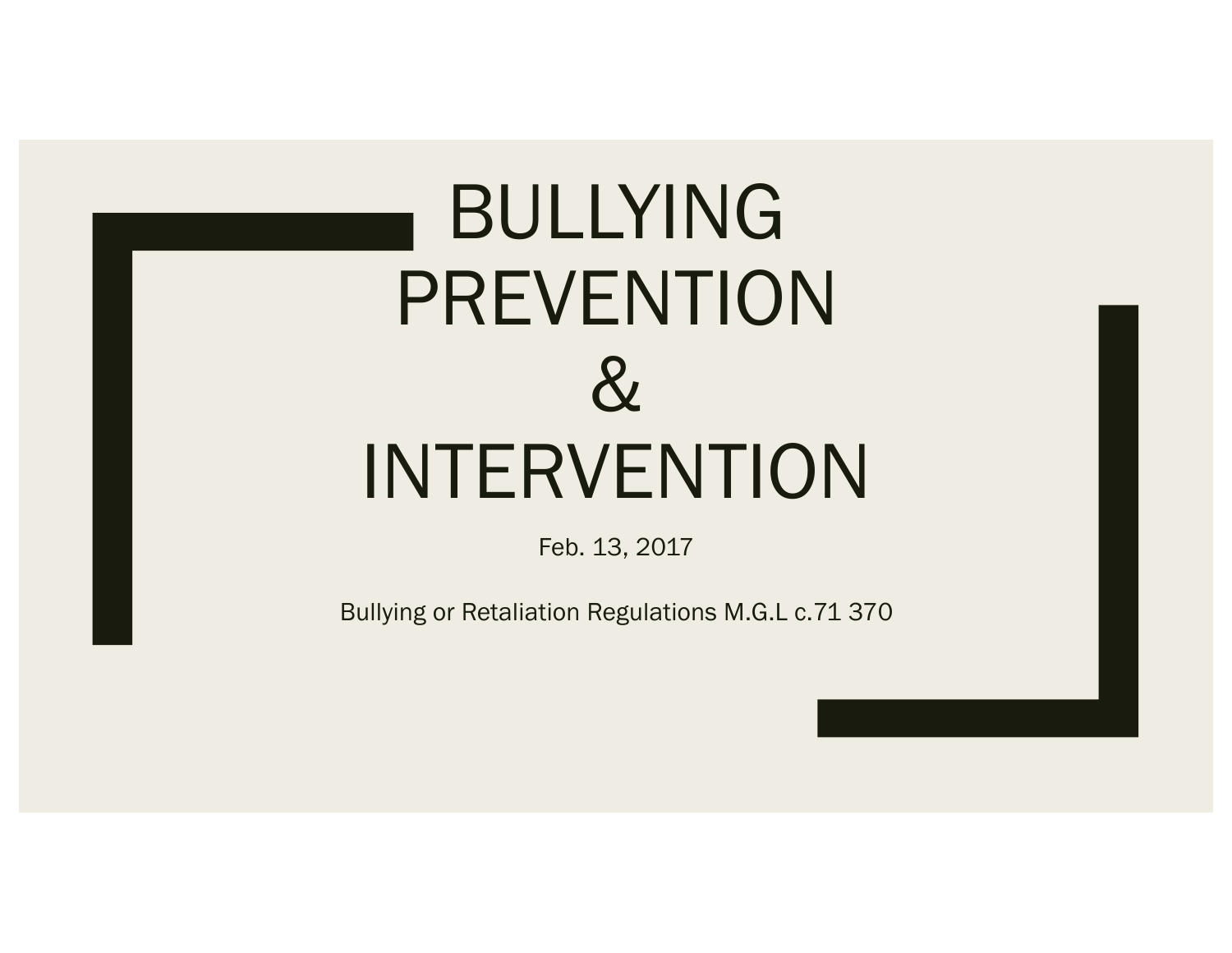# BULLYING PREVENTION  $\alpha$ INTERVENTION

Feb. 13, 2017

Bullying or Retaliation Regulations M.G.L c.71 370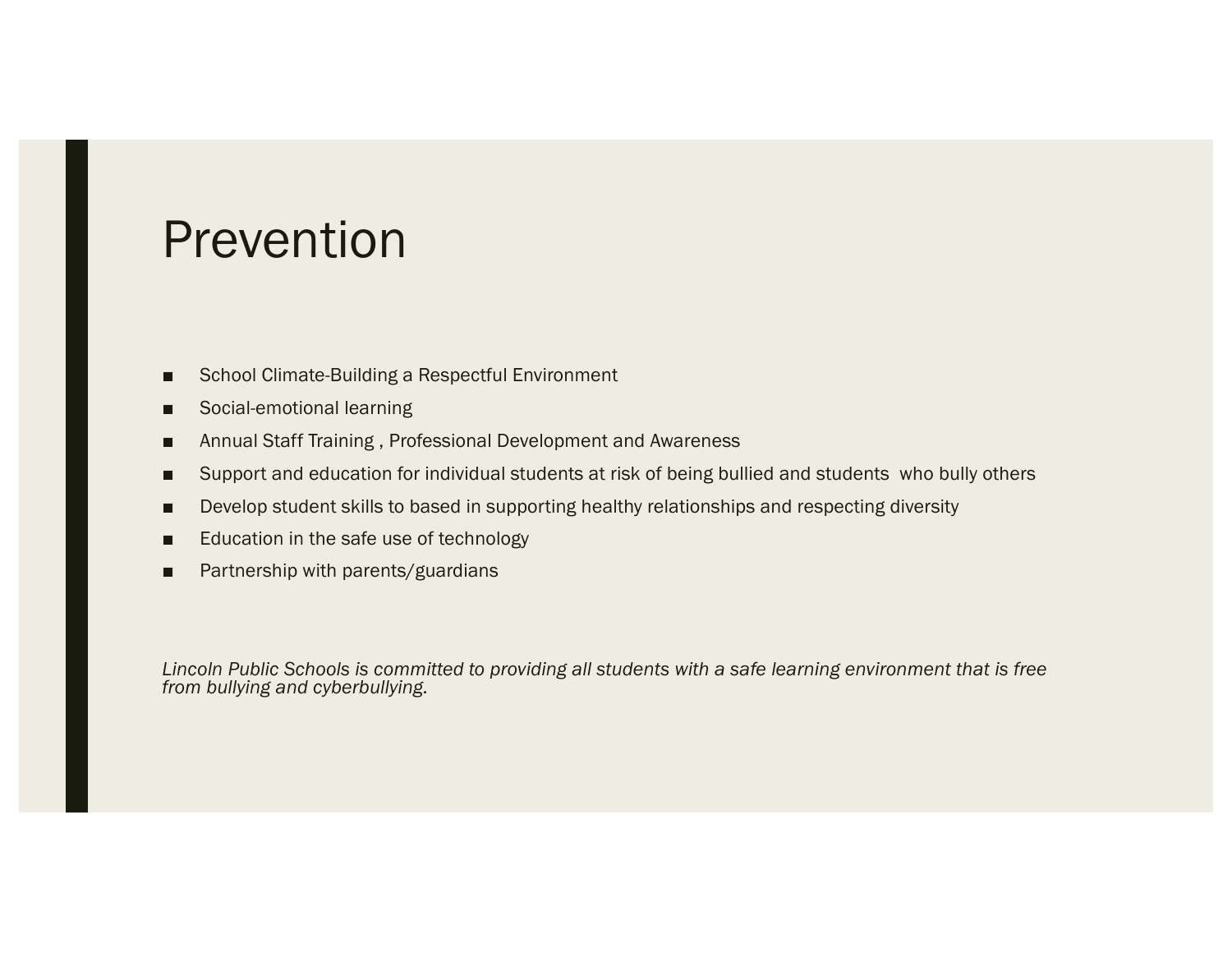#### Prevention

- School Climate-Building a Respectful Environment
- Social-emotional learning
- Annual Staff Training, Professional Development and Awareness
- Support and education for individual students at risk of being bullied and students who bully others
- Develop student skills to based in supporting healthy relationships and respecting diversity
- Education in the safe use of technology
- Partnership with parents/guardians

*Lincoln Public Schools is committed to providing all students with a safe learning environment that is free from bullying and cyberbullying.*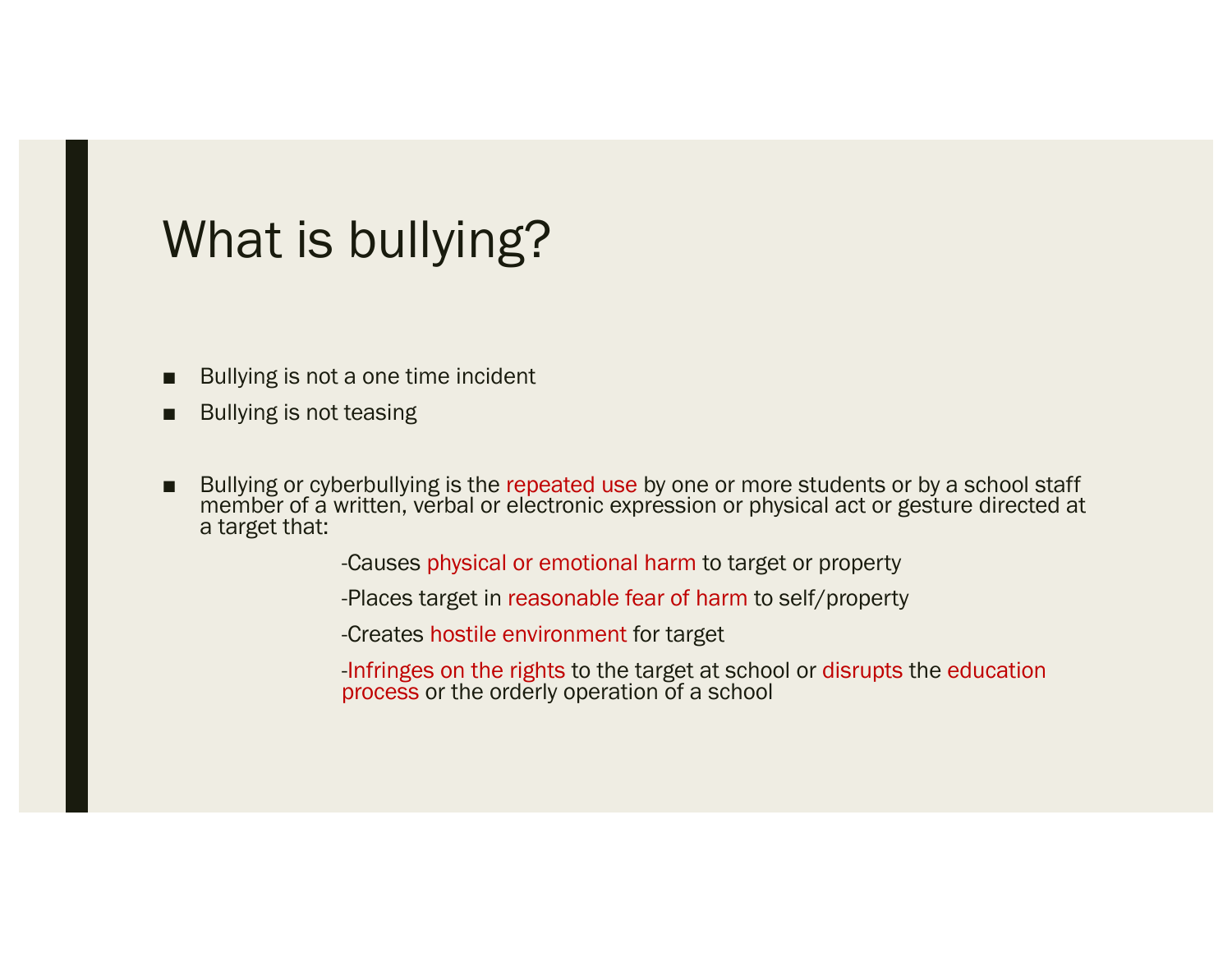## What is bullying?

- Bullying is not a one time incident
- Bullying is not teasing
- Bullying or cyberbullying is the repeated use by one or more students or by a school staff member of a written, verbal or electronic expression or physical act or gesture directed at a target that:

-Causes physical or emotional harm to target or property

-Places target in reasonable fear of harm to self/property

-Creates hostile environment for target

-Infringes on the rights to the target at school or disrupts the education process or the orderly operation of a school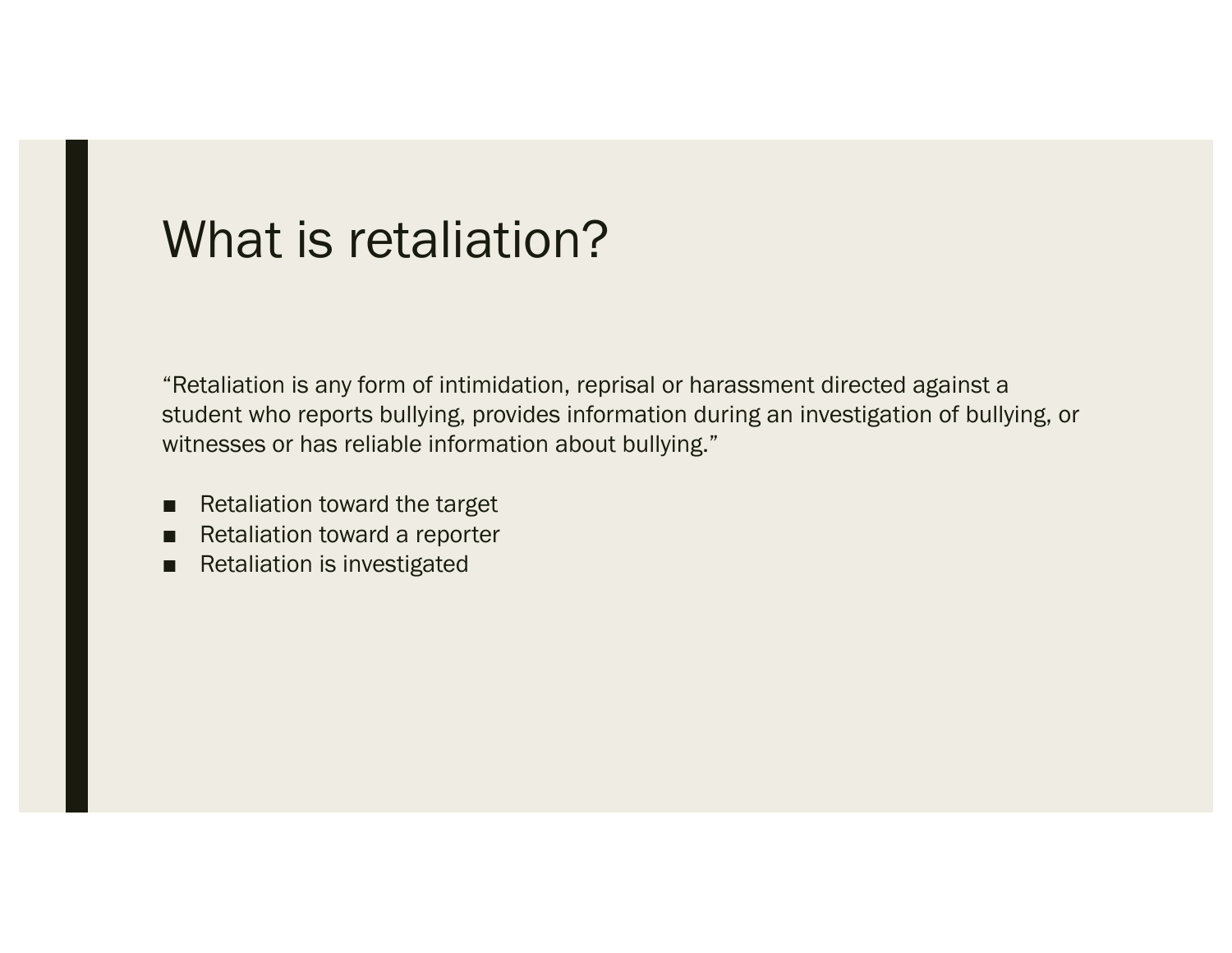#### What is retaliation?

"Retaliation is any form of intimidation, reprisal or harassment directed against a student who reports bullying, provides information during an investigation of bullying, or witnesses or has reliable information about bullying."

- Retaliation toward the target
- Retaliation toward a reporter
- Retaliation is investigated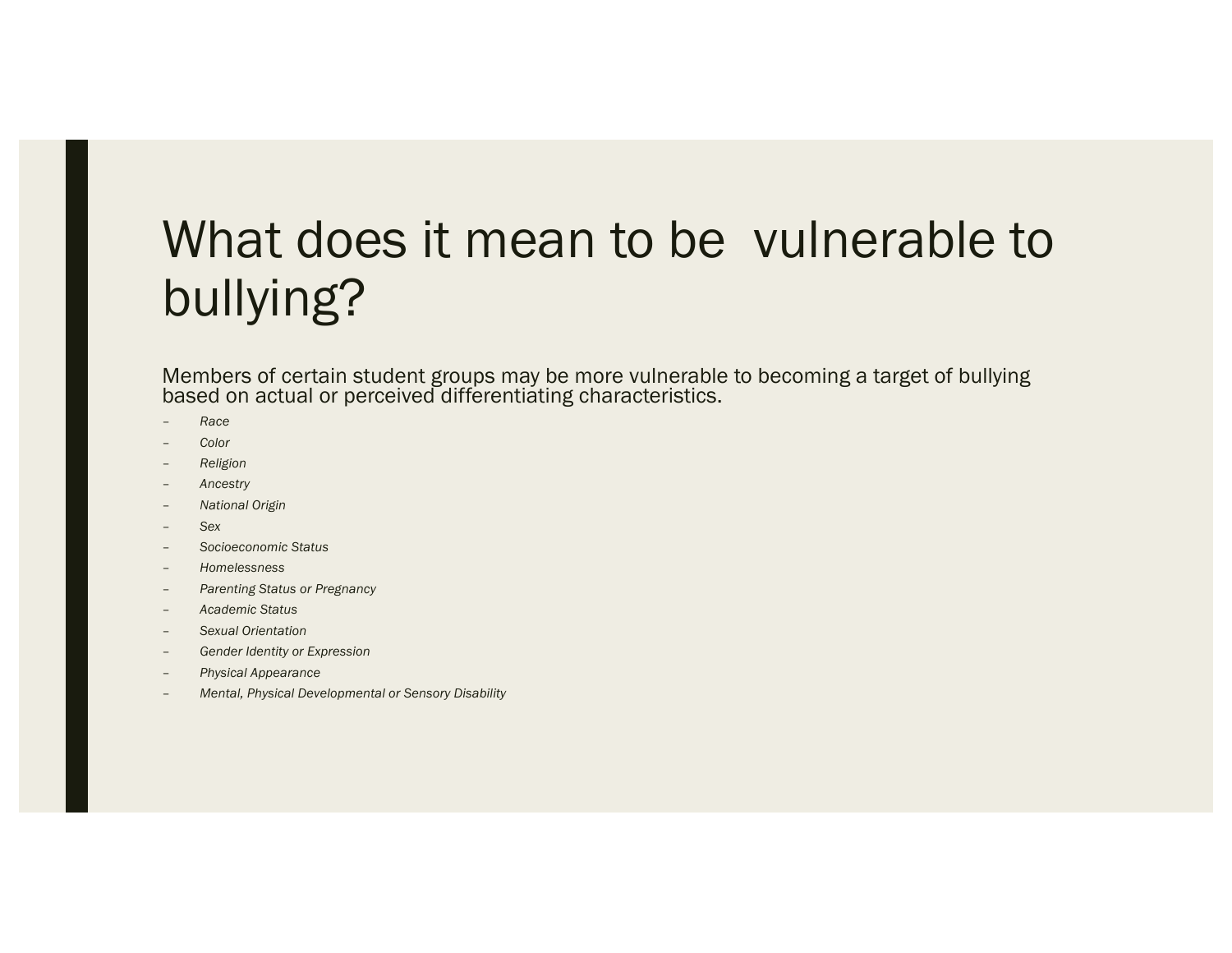## What does it mean to be vulnerable to bullying?

Members of certain student groups may be more vulnerable to becoming a target of bullying based on actual or perceived differentiating characteristics.

- *Race*
- *Color*
- *Religion*
- *Ancestry*
- *National Origin*
- *Sex*
- *Socioeconomic Status*
- *Homelessness*
- *Parenting Status or Pregnancy*
- *Academic Status*
- *Sexual Orientation*
- *Gender Identity or Expression*
- *Physical Appearance*
- *Mental, Physical Developmental or Sensory Disability*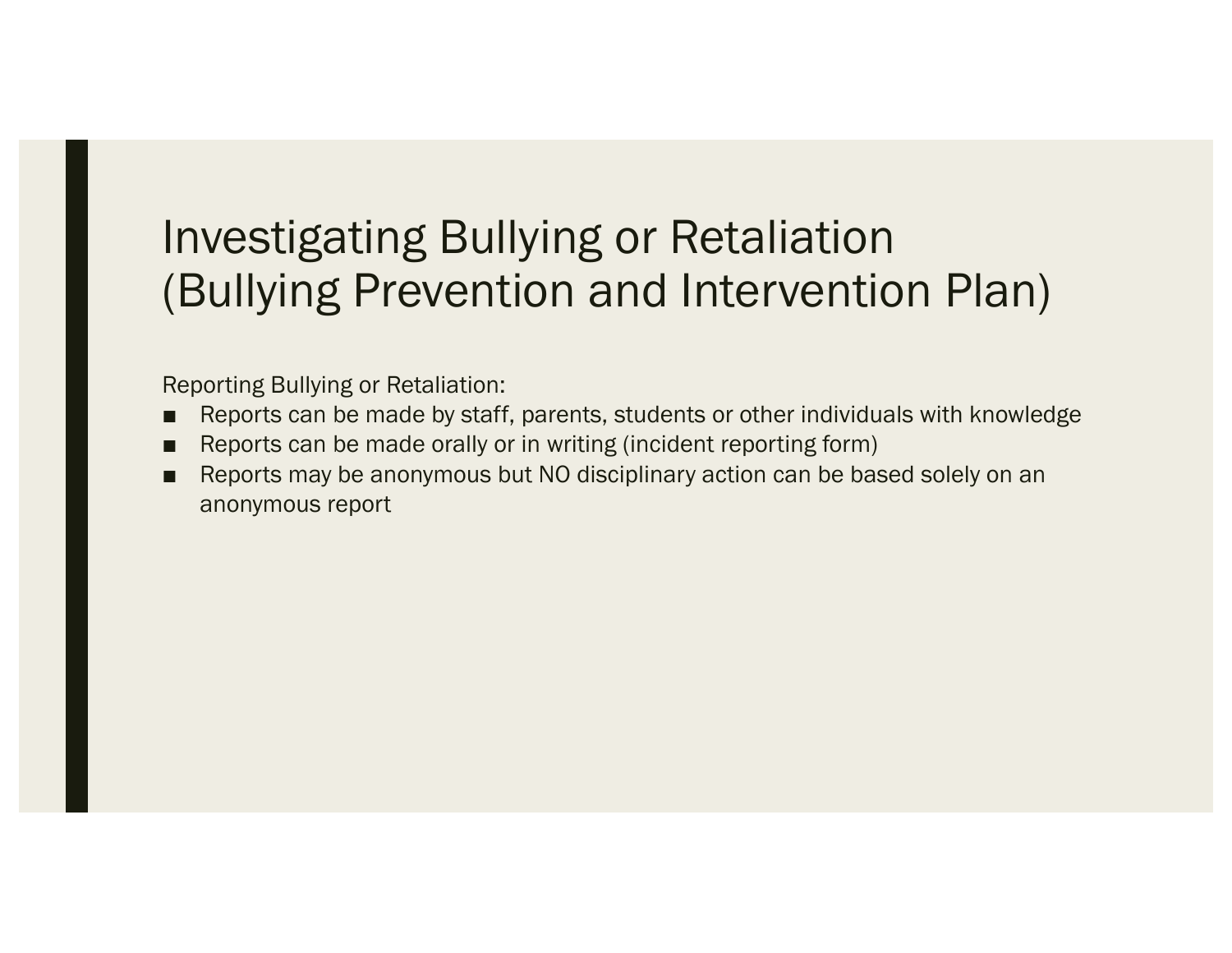#### Investigating Bullying or Retaliation (Bullying Prevention and Intervention Plan)

Reporting Bullying or Retaliation:

- Reports can be made by staff, parents, students or other individuals with knowledge
- Reports can be made orally or in writing (incident reporting form)
- Reports may be anonymous but NO disciplinary action can be based solely on an anonymous report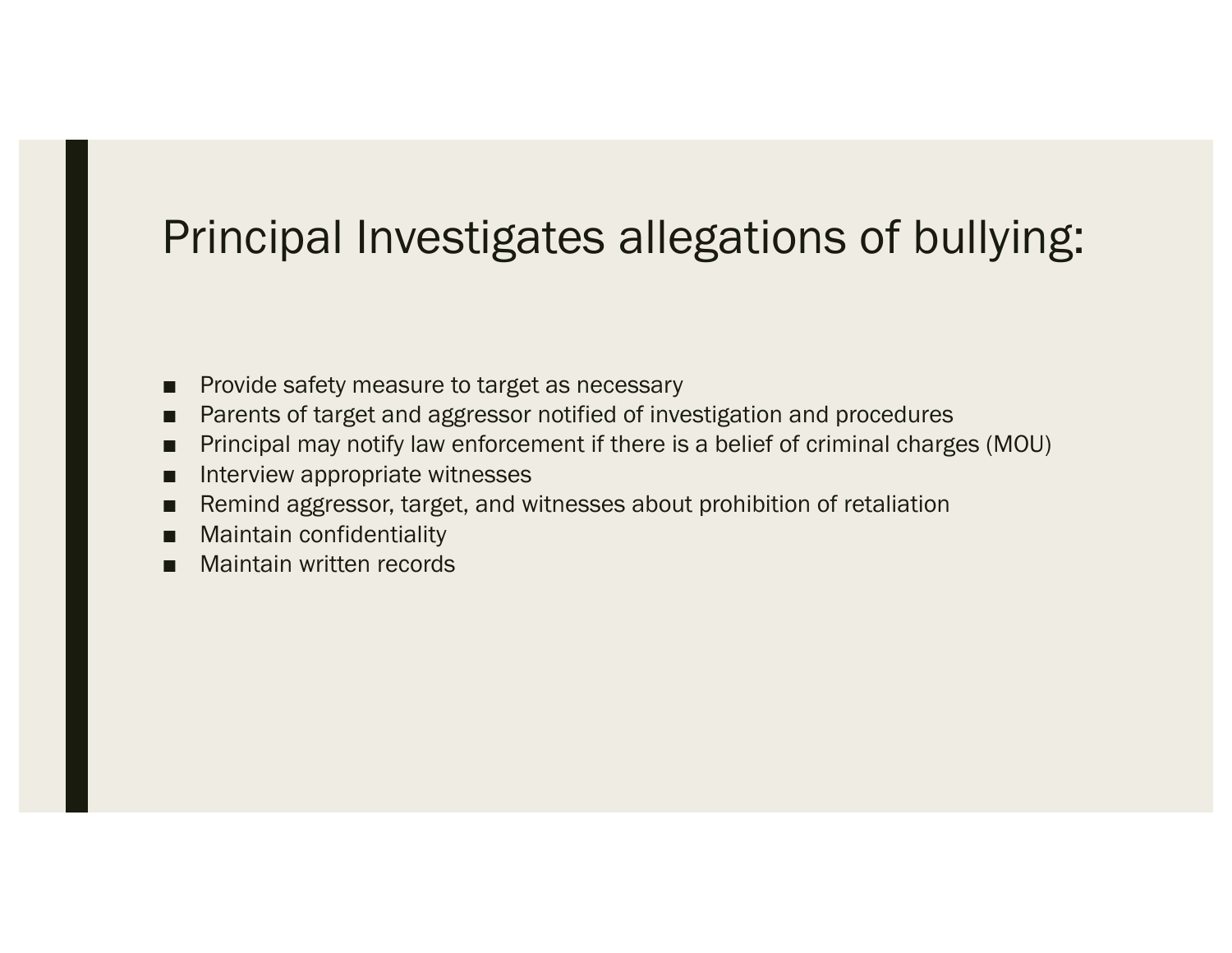#### Principal Investigates allegations of bullying:

- Provide safety measure to target as necessary
- Parents of target and aggressor notified of investigation and procedures
- Principal may notify law enforcement if there is a belief of criminal charges (MOU)
- Interview appropriate witnesses
- Remind aggressor, target, and witnesses about prohibition of retaliation
- **Maintain confidentiality**
- Maintain written records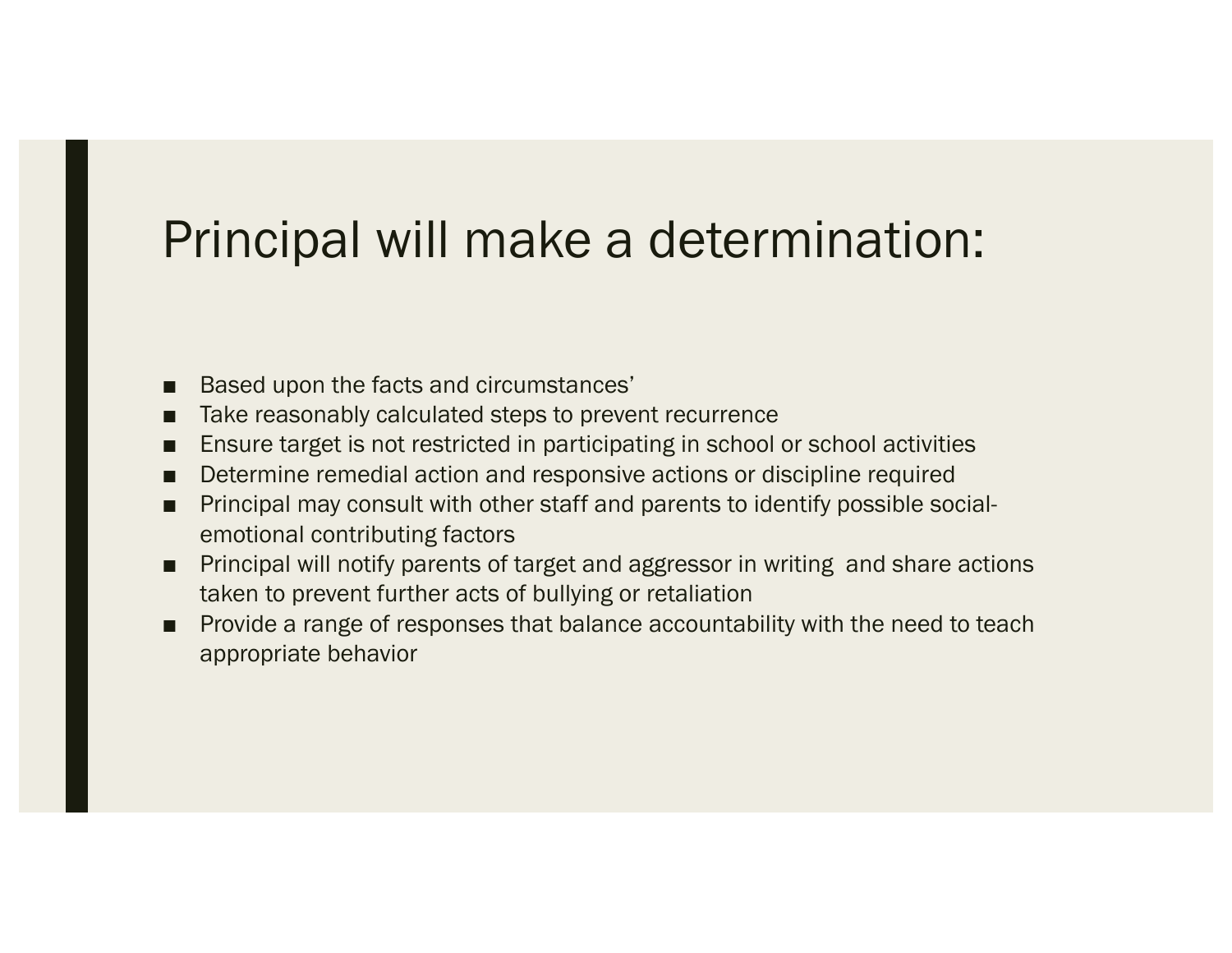## Principal will make a determination:

- Based upon the facts and circumstances'
- Take reasonably calculated steps to prevent recurrence
- Ensure target is not restricted in participating in school or school activities
- Determine remedial action and responsive actions or discipline required
- Principal may consult with other staff and parents to identify possible socialemotional contributing factors
- Principal will notify parents of target and aggressor in writing and share actions taken to prevent further acts of bullying or retaliation
- Provide a range of responses that balance accountability with the need to teach appropriate behavior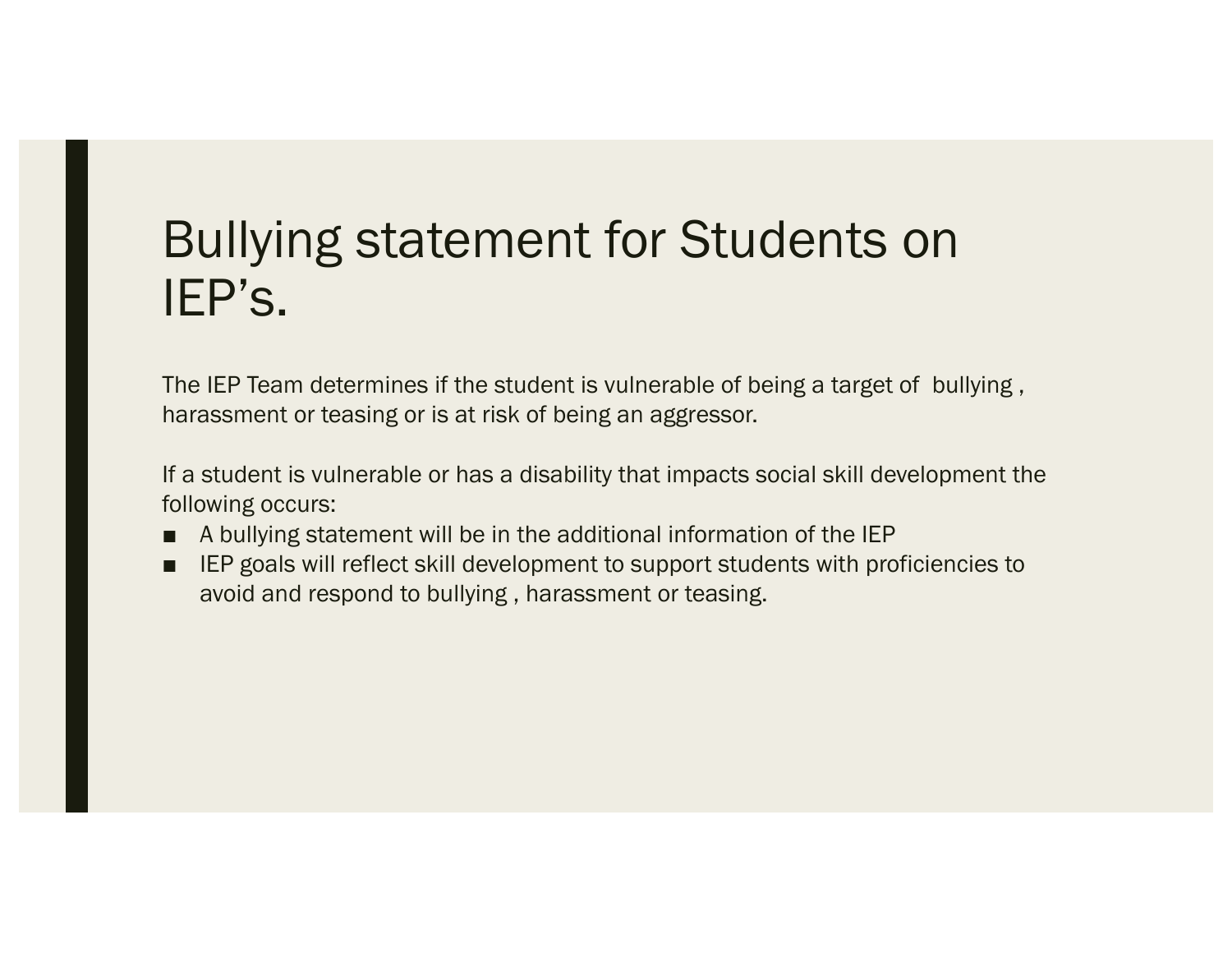## Bullying statement for Students on IEP's.

The IEP Team determines if the student is vulnerable of being a target of bullying , harassment or teasing or is at risk of being an aggressor.

If a student is vulnerable or has a disability that impacts social skill development the following occurs:

- A bullying statement will be in the additional information of the IEP
- IEP goals will reflect skill development to support students with proficiencies to avoid and respond to bullying , harassment or teasing.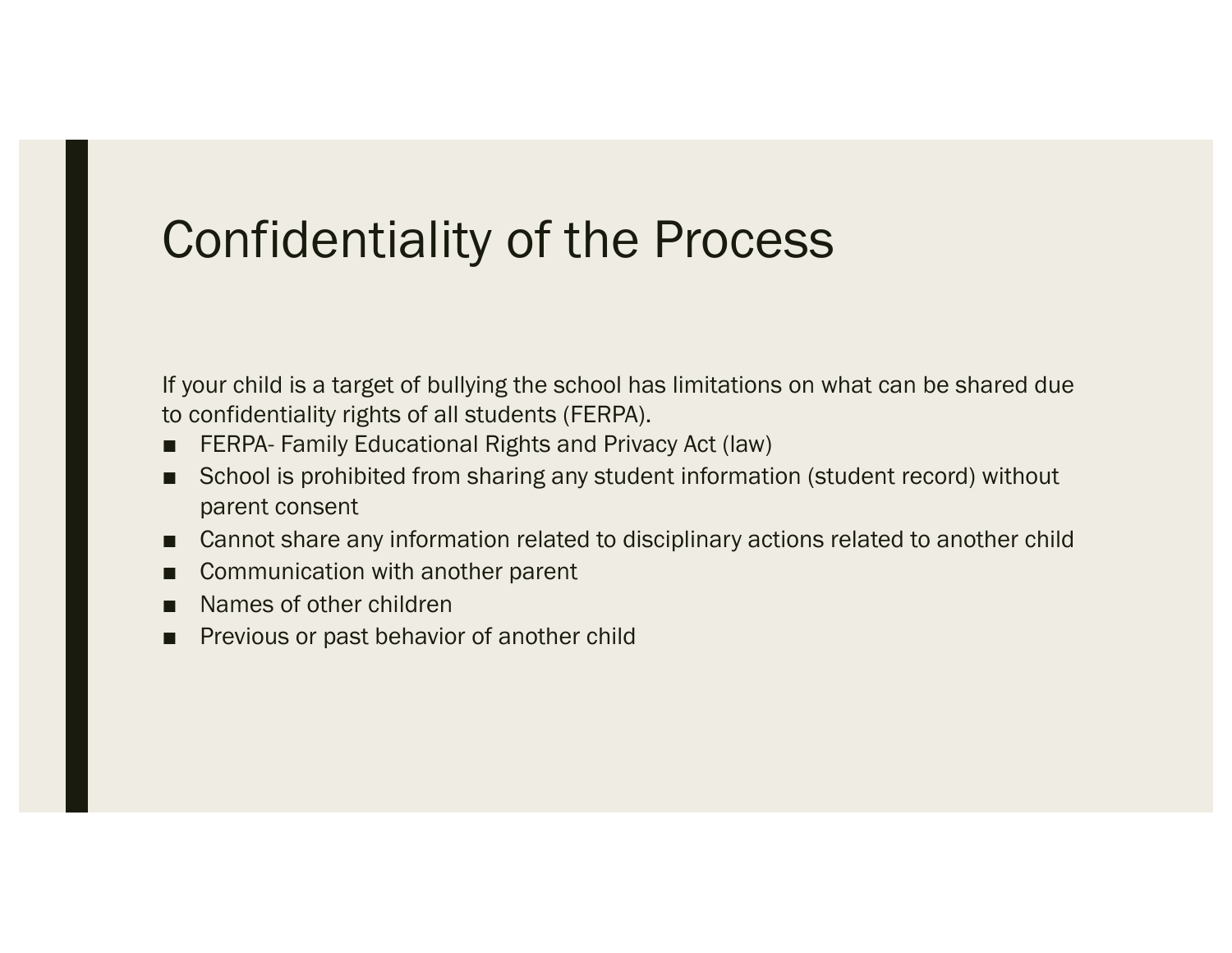### Confidentiality of the Process

If your child is a target of bullying the school has limitations on what can be shared due to confidentiality rights of all students (FERPA).

- FERPA- Family Educational Rights and Privacy Act (law)
- School is prohibited from sharing any student information (student record) without parent consent
- Cannot share any information related to disciplinary actions related to another child
- Communication with another parent
- Names of other children
- Previous or past behavior of another child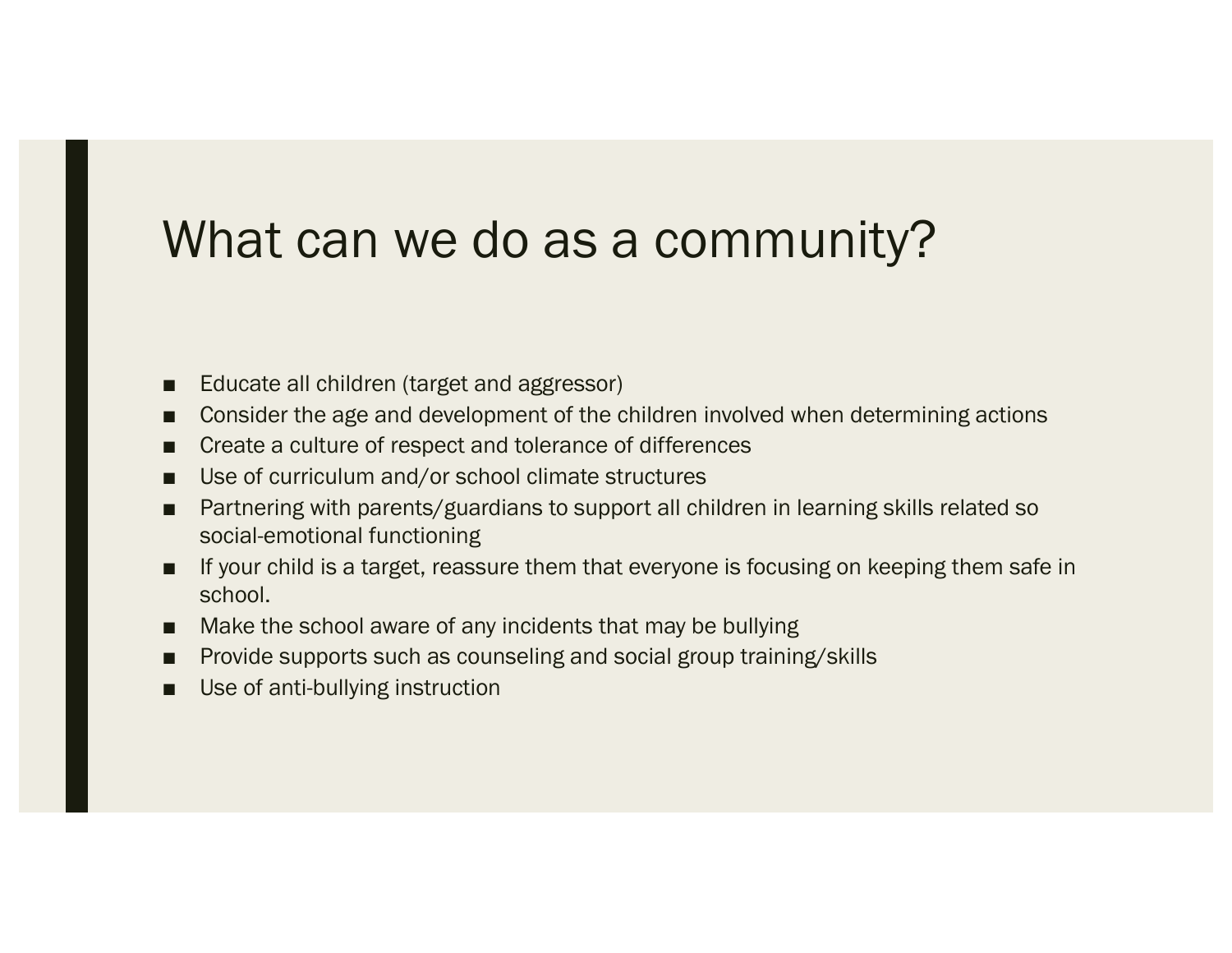## What can we do as a community?

- Educate all children (target and aggressor)
- Consider the age and development of the children involved when determining actions
- Create a culture of respect and tolerance of differences
- Use of curriculum and/or school climate structures
- Bartnering with parents/guardians to support all children in learning skills related so social-emotional functioning
- If your child is a target, reassure them that everyone is focusing on keeping them safe in school.
- Make the school aware of any incidents that may be bullying
- Provide supports such as counseling and social group training/skills
- Use of anti-bullying instruction